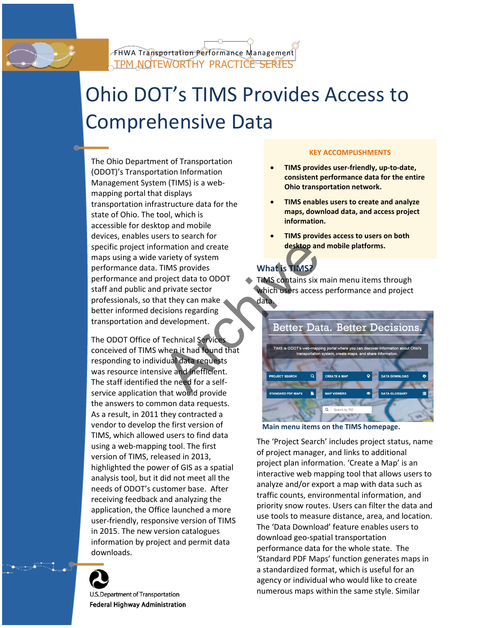

# Ohio DOT's TIMS Provides Access to Comprehensive Data

The Ohio Department of Transportation (ODOT)'s Transportation Information Management System (TIMS) is a webmapping portal that displays transportation infrastructure data for the state of Ohio. The tool, which is accessible for desktop and mobile devices, enables users to search for specific project information and create maps using a wide variety of system performance data. TIMS provides performance and project data to ODOT staff and public and private sector professionals, so that they can make better informed decisions regarding transportation and development. EXERCISE TIME SPONSED THAT THAT SERVERT PROPERTIES ON THE TREAD OF THE SPONSED CONTRACT ON THE SPACE OF THE TECHNICAL TECHNICAL TECHNICAL TECHNICAL TECHNICAL TECHNICAL TECHNICAL TECHNICAL TECHNICAL TECHNICAL TECHNICAL TECH

The ODOT Office of Technical Service conceived of TIMS when it had found that responding to individual data requests was resource intensive and inefficient. The staff identified the need for a selfservice application that would provide the answers to common data requests. As a result, in 2011 they contracted a vendor to develop the first version of TIMS, which allowed users to find data using a web-mapping tool. The first version of TIMS, released in 2013, highlighted the power of GIS as a spatial analysis tool, but it did not meet all the needs of ODOT's customer base. After receiving feedback and analyzing the application, the Office launched a more user-friendly, responsive version of TIMS in 2015. The new version catalogues information by project and permit data downloads.



U.S. Department of Transportation Federal Highway Administration

### **KEY ACCOMPLISHMENTS**

- **TIMS provides user-friendly, up-to-date, consistent performance data for the entire Ohio transportation network.**
- **TIMS enables users to create and analyze maps, download data, and access project information.**
- **TIMS provides access to users on both desktop and mobile platforms.**

# **What is TIMS?**

 $\triangle$  TIMS contains six main menu items through which users access performance and project data.



**Main menu items on the TIMS homepage.** 

The 'Project Search' includes project status, name of project manager, and links to additional project plan information. 'Create a Map' is an interactive web mapping tool that allows users to analyze and/or export a map with data such as traffic counts, environmental information, and priority snow routes. Users can filter the data and use tools to measure distance, area, and location. The 'Data Download' feature enables users to download geo-spatial transportation performance data for the whole state. The 'Standard PDF Maps' function generates maps in a standardized format, which is useful for an agency or individual who would like to create numerous maps within the same style. Similar